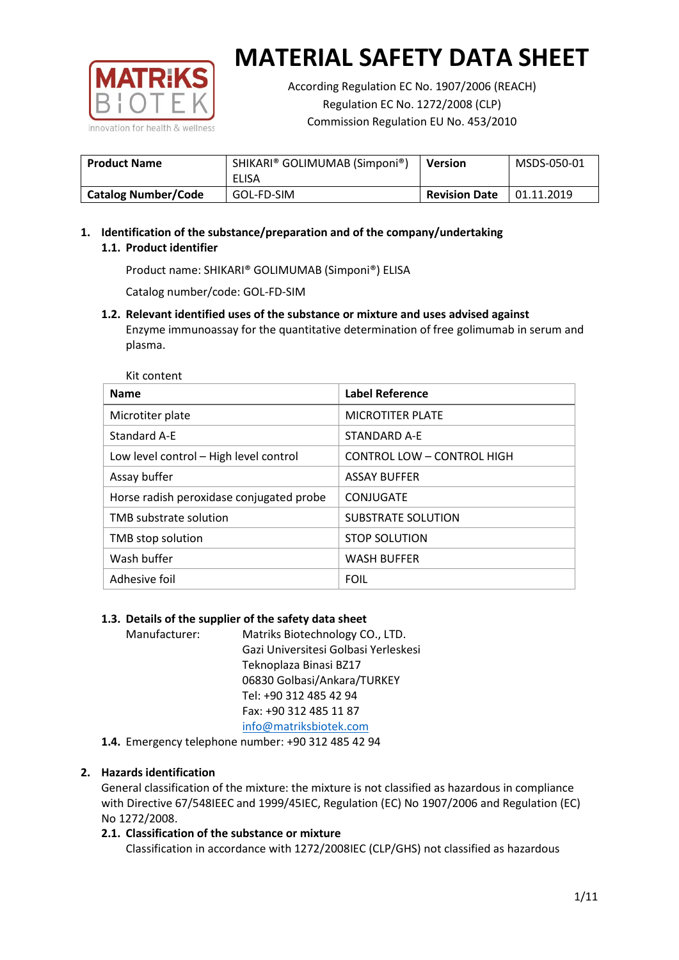

According Regulation EC No. 1907/2006 (REACH) Regulation EC No. 1272/2008 (CLP) Commission Regulation EU No. 453/2010

| <b>Product Name</b>        | SHIKARI® GOLIMUMAB (Simponi®)<br>ELISA | <b>Version</b>       | MSDS-050-01 |
|----------------------------|----------------------------------------|----------------------|-------------|
| <b>Catalog Number/Code</b> | GOL-FD-SIM                             | <b>Revision Date</b> | 01.11.2019  |

# **1. Identification of the substance/preparation and of the company/undertaking 1.1. Product identifier**

Product name: SHIKARI® GOLIMUMAB (Simponi®) ELISA

Catalog number/code: GOL-FD-SIM

**1.2. Relevant identified uses of the substance or mixture and uses advised against** Enzyme immunoassay for the quantitative determination of free golimumab in serum and plasma.

| <b>Name</b>                              | <b>Label Reference</b>            |
|------------------------------------------|-----------------------------------|
| Microtiter plate                         | <b>MICROTITER PLATE</b>           |
| <b>Standard A-E</b>                      | STANDARD A-F                      |
| Low level control - High level control   | <b>CONTROL LOW - CONTROL HIGH</b> |
| Assay buffer                             | <b>ASSAY BUFFER</b>               |
| Horse radish peroxidase conjugated probe | CONJUGATE                         |
| TMB substrate solution                   | <b>SUBSTRATE SOLUTION</b>         |
| TMB stop solution                        | <b>STOP SOLUTION</b>              |
| Wash buffer                              | <b>WASH BUFFER</b>                |
| Adhesive foil                            | <b>FOIL</b>                       |

## **1.3. Details of the supplier of the safety data sheet**

Manufacturer: Matriks Biotechnology CO., LTD. Gazi Universitesi Golbasi Yerleskesi Teknoplaza Binasi BZ17 06830 Golbasi/Ankara/TURKEY Tel: +90 312 485 42 94 Fax: +90 312 485 11 87 [info@matriksbiotek.com](mailto:info@matriksbiotek.com)

**1.4.** Emergency telephone number: +90 312 485 42 94

## **2. Hazards identification**

General classification of the mixture: the mixture is not classified as hazardous in compliance with Directive 67/548IEEC and 1999/45IEC, Regulation (EC) No 1907/2006 and Regulation (EC) No 1272/2008.

## **2.1. Classification of the substance or mixture**

Classification in accordance with 1272/2008IEC (CLP/GHS) not classified as hazardous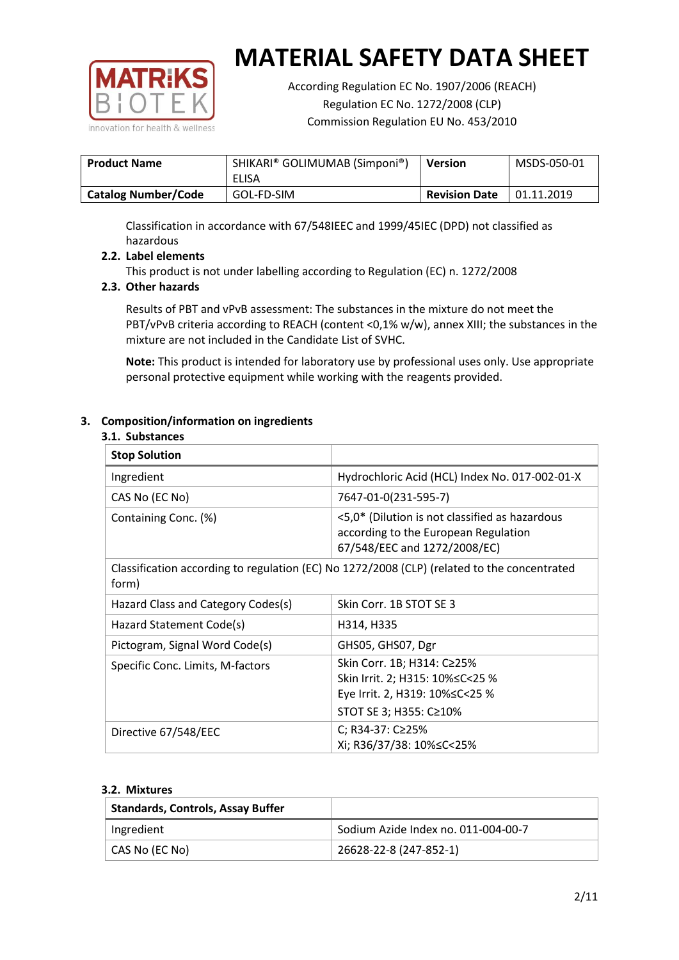

According Regulation EC No. 1907/2006 (REACH) Regulation EC No. 1272/2008 (CLP) Commission Regulation EU No. 453/2010

| <b>Product Name</b>        | SHIKARI® GOLIMUMAB (Simponi®)<br>ELISA | <b>Version</b>       | MSDS-050-01 |
|----------------------------|----------------------------------------|----------------------|-------------|
| <b>Catalog Number/Code</b> | GOL-FD-SIM                             | <b>Revision Date</b> | 01.11.2019  |

Classification in accordance with 67/548IEEC and 1999/45IEC (DPD) not classified as hazardous

## **2.2. Label elements**

This product is not under labelling according to Regulation (EC) n. 1272/2008

## **2.3. Other hazards**

Results of PBT and vPvB assessment: The substances in the mixture do not meet the PBT/vPvB criteria according to REACH (content <0,1% w/w), annex XIII; the substances in the mixture are not included in the Candidate List of SVHC.

**Note:** This product is intended for laboratory use by professional uses only. Use appropriate personal protective equipment while working with the reagents provided.

## **3. Composition/information on ingredients**

#### **3.1. Substances**

| <b>Stop Solution</b>               |                                                                                                                           |
|------------------------------------|---------------------------------------------------------------------------------------------------------------------------|
| Ingredient                         | Hydrochloric Acid (HCL) Index No. 017-002-01-X                                                                            |
| CAS No (EC No)                     | 7647-01-0(231-595-7)                                                                                                      |
| Containing Conc. (%)               | <5,0* (Dilution is not classified as hazardous<br>according to the European Regulation<br>67/548/EEC and 1272/2008/EC)    |
| form)                              | Classification according to regulation (EC) No 1272/2008 (CLP) (related to the concentrated                               |
| Hazard Class and Category Codes(s) | Skin Corr. 1B STOT SE 3                                                                                                   |
| Hazard Statement Code(s)           | H314, H335                                                                                                                |
| Pictogram, Signal Word Code(s)     | GHS05, GHS07, Dgr                                                                                                         |
| Specific Conc. Limits, M-factors   | Skin Corr. 1B; H314: C≥25%<br>Skin Irrit. 2; H315: 10%≤C<25 %<br>Eye Irrit. 2, H319: 10%≤C<25 %<br>STOT SE 3; H355: C≥10% |
| Directive 67/548/EEC               | C; R34-37: C≥25%<br>Xi; R36/37/38: 10%≤C<25%                                                                              |

#### **3.2. Mixtures**

| <b>Standards, Controls, Assay Buffer</b> |                                     |
|------------------------------------------|-------------------------------------|
| Ingredient                               | Sodium Azide Index no. 011-004-00-7 |
| CAS No (EC No)                           | 26628-22-8 (247-852-1)              |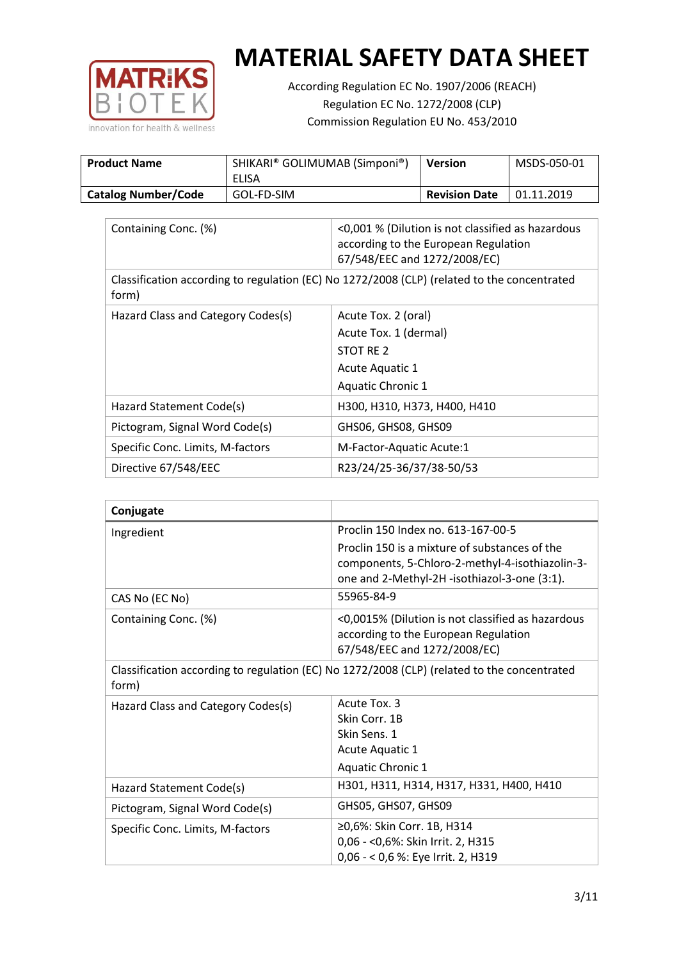

According Regulation EC No. 1907/2006 (REACH) Regulation EC No. 1272/2008 (CLP) Commission Regulation EU No. 453/2010

| <b>Product Name</b>        | SHIKARI® GOLIMUMAB (Simponi®)<br>ELISA | <b>Version</b>       | MSDS-050-01 |
|----------------------------|----------------------------------------|----------------------|-------------|
| <b>Catalog Number/Code</b> | GOL-FD-SIM                             | <b>Revision Date</b> | 01.11.2019  |

| Containing Conc. (%)               | <0,001 % (Dilution is not classified as hazardous<br>according to the European Regulation<br>67/548/EEC and 1272/2008/EC) |
|------------------------------------|---------------------------------------------------------------------------------------------------------------------------|
| form)                              | Classification according to regulation (EC) No 1272/2008 (CLP) (related to the concentrated                               |
| Hazard Class and Category Codes(s) | Acute Tox. 2 (oral)                                                                                                       |
|                                    | Acute Tox. 1 (dermal)                                                                                                     |
|                                    | STOT RE 2                                                                                                                 |
|                                    | Acute Aquatic 1                                                                                                           |
|                                    | Aquatic Chronic 1                                                                                                         |
| Hazard Statement Code(s)           | H300, H310, H373, H400, H410                                                                                              |
| Pictogram, Signal Word Code(s)     | GHS06, GHS08, GHS09                                                                                                       |
| Specific Conc. Limits, M-factors   | M-Factor-Aquatic Acute:1                                                                                                  |
| Directive 67/548/EEC               | R23/24/25-36/37/38-50/53                                                                                                  |

| Conjugate                          |                                                                                                                                                  |
|------------------------------------|--------------------------------------------------------------------------------------------------------------------------------------------------|
| Ingredient                         | Proclin 150 Index no. 613-167-00-5                                                                                                               |
|                                    | Proclin 150 is a mixture of substances of the<br>components, 5-Chloro-2-methyl-4-isothiazolin-3-<br>one and 2-Methyl-2H -isothiazol-3-one (3:1). |
| CAS No (EC No)                     | 55965-84-9                                                                                                                                       |
| Containing Conc. (%)               | <0,0015% (Dilution is not classified as hazardous<br>according to the European Regulation<br>67/548/EEC and 1272/2008/EC)                        |
| form)                              | Classification according to regulation (EC) No 1272/2008 (CLP) (related to the concentrated                                                      |
| Hazard Class and Category Codes(s) | Acute Tox. 3                                                                                                                                     |
|                                    | Skin Corr. 1B                                                                                                                                    |
|                                    | Skin Sens. 1                                                                                                                                     |
|                                    | <b>Acute Aquatic 1</b>                                                                                                                           |
|                                    | Aquatic Chronic 1                                                                                                                                |
| Hazard Statement Code(s)           | H301, H311, H314, H317, H331, H400, H410                                                                                                         |
| Pictogram, Signal Word Code(s)     | GHS05, GHS07, GHS09                                                                                                                              |
| Specific Conc. Limits, M-factors   | ≥0,6%: Skin Corr. 1B, H314<br>0,06 - < 0,6%: Skin Irrit. 2, H315<br>0,06 - < 0,6 %: Eye Irrit. 2, H319                                           |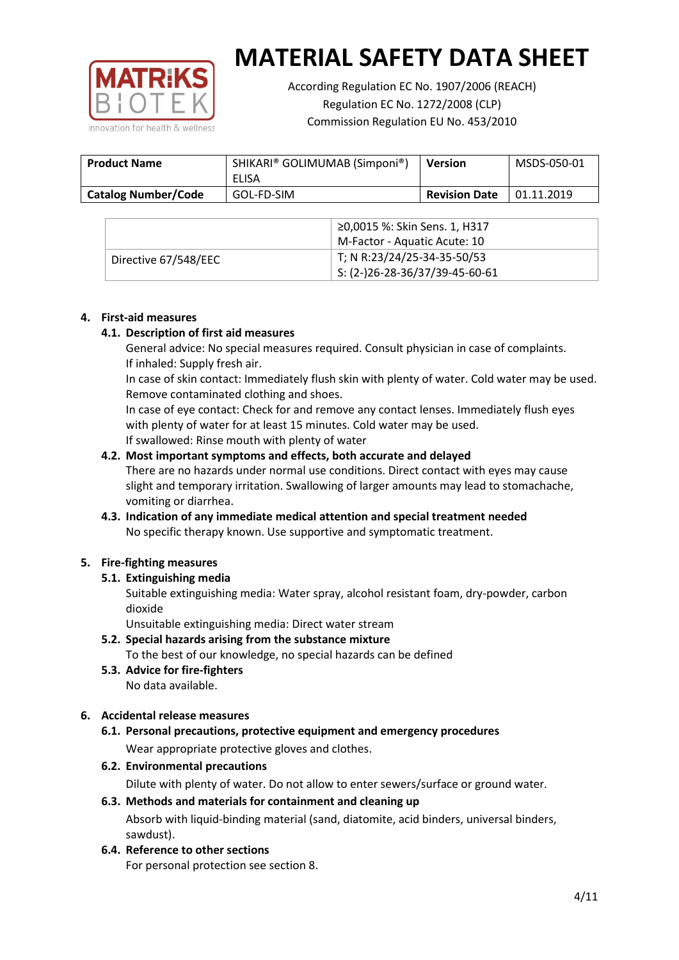

According Regulation EC No. 1907/2006 (REACH) Regulation EC No. 1272/2008 (CLP) Commission Regulation EU No. 453/2010

| <b>Product Name</b>        | SHIKARI® GOLIMUMAB (Simponi®)<br>ELISA | <b>Version</b>       | MSDS-050-01 |
|----------------------------|----------------------------------------|----------------------|-------------|
| <b>Catalog Number/Code</b> | GOL-FD-SIM                             | <b>Revision Date</b> | 01.11.2019  |

|                      | ≥0,0015 %: Skin Sens. 1, H317                |
|----------------------|----------------------------------------------|
|                      | M-Factor - Aquatic Acute: 10                 |
| Directive 67/548/EEC | T; N R:23/24/25-34-35-50/53                  |
|                      | $\frac{1}{2}$ S: (2-)26-28-36/37/39-45-60-61 |

## **4. First-aid measures**

## **4.1. Description of first aid measures**

General advice: No special measures required. Consult physician in case of complaints. If inhaled: Supply fresh air.

In case of skin contact: Immediately flush skin with plenty of water. Cold water may be used. Remove contaminated clothing and shoes.

In case of eye contact: Check for and remove any contact lenses. Immediately flush eyes with plenty of water for at least 15 minutes. Cold water may be used. If swallowed: Rinse mouth with plenty of water

## **4.2. Most important symptoms and effects, both accurate and delayed**

There are no hazards under normal use conditions. Direct contact with eyes may cause slight and temporary irritation. Swallowing of larger amounts may lead to stomachache, vomiting or diarrhea.

## **4.3. Indication of any immediate medical attention and special treatment needed** No specific therapy known. Use supportive and symptomatic treatment.

## **5. Fire-fighting measures**

## **5.1. Extinguishing media**

Suitable extinguishing media: Water spray, alcohol resistant foam, dry-powder, carbon dioxide

Unsuitable extinguishing media: Direct water stream

- **5.2. Special hazards arising from the substance mixture** To the best of our knowledge, no special hazards can be defined
- **5.3. Advice for fire-fighters** No data available.

## **6. Accidental release measures**

- **6.1. Personal precautions, protective equipment and emergency procedures** Wear appropriate protective gloves and clothes.
- **6.2. Environmental precautions**

Dilute with plenty of water. Do not allow to enter sewers/surface or ground water.

#### **6.3. Methods and materials for containment and cleaning up**

Absorb with liquid-binding material (sand, diatomite, acid binders, universal binders, sawdust).

**6.4. Reference to other sections**

For personal protection see section 8.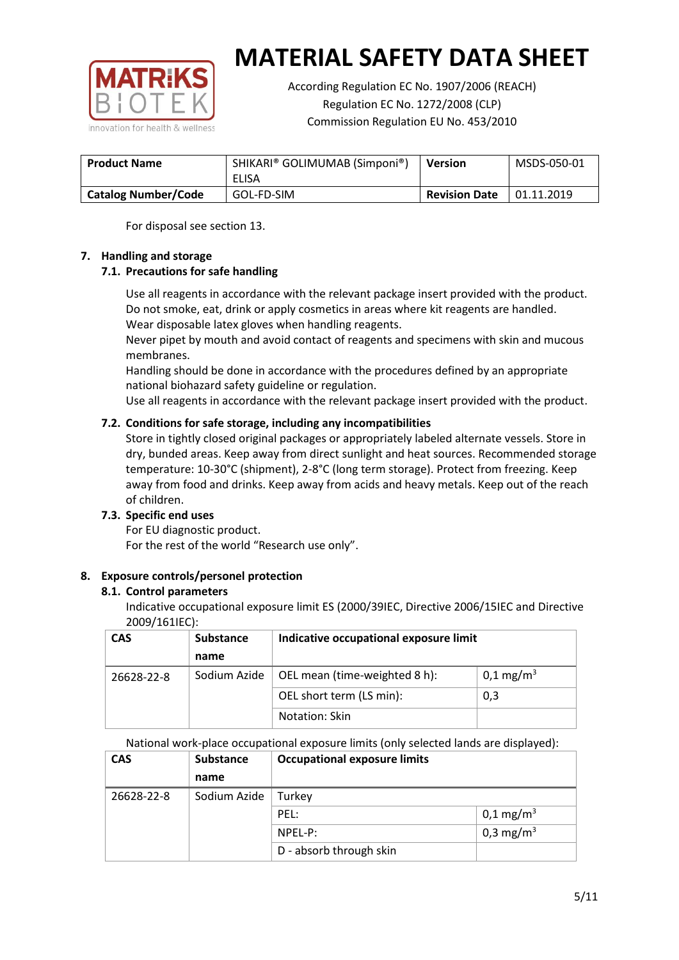

According Regulation EC No. 1907/2006 (REACH) Regulation EC No. 1272/2008 (CLP) Commission Regulation EU No. 453/2010

| <b>Product Name</b>        | SHIKARI® GOLIMUMAB (Simponi®)<br>ELISA | <b>Version</b>       | MSDS-050-01 |
|----------------------------|----------------------------------------|----------------------|-------------|
| <b>Catalog Number/Code</b> | GOL-FD-SIM                             | <b>Revision Date</b> | 01.11.2019  |

For disposal see section 13.

## **7. Handling and storage**

## **7.1. Precautions for safe handling**

Use all reagents in accordance with the relevant package insert provided with the product. Do not smoke, eat, drink or apply cosmetics in areas where kit reagents are handled. Wear disposable latex gloves when handling reagents.

Never pipet by mouth and avoid contact of reagents and specimens with skin and mucous membranes.

Handling should be done in accordance with the procedures defined by an appropriate national biohazard safety guideline or regulation.

Use all reagents in accordance with the relevant package insert provided with the product.

## **7.2. Conditions for safe storage, including any incompatibilities**

Store in tightly closed original packages or appropriately labeled alternate vessels. Store in dry, bunded areas. Keep away from direct sunlight and heat sources. Recommended storage temperature: 10-30°C (shipment), 2-8°C (long term storage). Protect from freezing. Keep away from food and drinks. Keep away from acids and heavy metals. Keep out of the reach of children.

## **7.3. Specific end uses**

For EU diagnostic product. For the rest of the world "Research use only".

## **8. Exposure controls/personel protection**

#### **8.1. Control parameters**

Indicative occupational exposure limit ES (2000/39IEC, Directive 2006/15IEC and Directive 2009/161IEC):

| <b>CAS</b> | <b>Substance</b> | Indicative occupational exposure limit |                       |
|------------|------------------|----------------------------------------|-----------------------|
|            | name             |                                        |                       |
| 26628-22-8 | Sodium Azide     | OEL mean (time-weighted 8 h):          | 0,1 mg/m <sup>3</sup> |
|            |                  | OEL short term (LS min):               | 0,3                   |
|            |                  | Notation: Skin                         |                       |

National work-place occupational exposure limits (only selected lands are displayed):

| <b>CAS</b> | <b>Substance</b> | <b>Occupational exposure limits</b> |                         |  |
|------------|------------------|-------------------------------------|-------------------------|--|
|            | name             |                                     |                         |  |
| 26628-22-8 | Sodium Azide     | Turkey                              |                         |  |
|            |                  | PEL:                                | $0,1 \,\mathrm{mg/m^3}$ |  |
|            |                  | $NPEL-P$ :                          | 0,3 mg/m <sup>3</sup>   |  |
|            |                  | D - absorb through skin             |                         |  |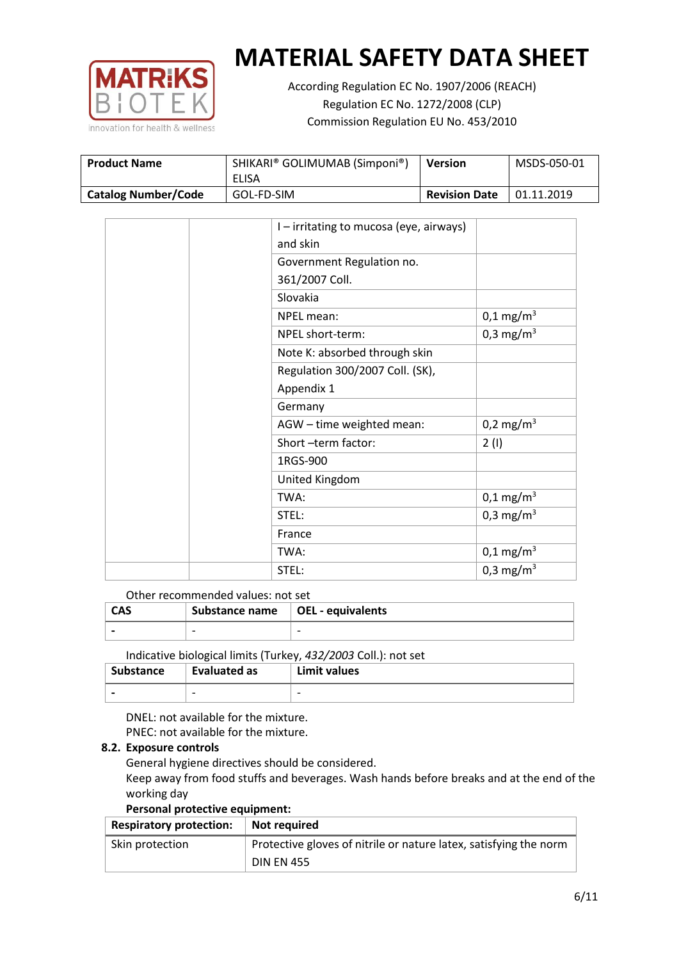

According Regulation EC No. 1907/2006 (REACH) Regulation EC No. 1272/2008 (CLP) Commission Regulation EU No. 453/2010

| <b>Product Name</b>        | SHIKARI® GOLIMUMAB (Simponi®)<br><b>ELISA</b> | <b>Version</b>       | MSDS-050-01 |
|----------------------------|-----------------------------------------------|----------------------|-------------|
| <b>Catalog Number/Code</b> | GOL-FD-SIM                                    | <b>Revision Date</b> | 01.11.2019  |

|  | I - irritating to mucosa (eye, airways) |                       |
|--|-----------------------------------------|-----------------------|
|  | and skin                                |                       |
|  | Government Regulation no.               |                       |
|  | 361/2007 Coll.                          |                       |
|  | Slovakia                                |                       |
|  | NPEL mean:                              | $0,1 \text{ mg/m}^3$  |
|  | NPEL short-term:                        | 0,3 mg/m <sup>3</sup> |
|  | Note K: absorbed through skin           |                       |
|  | Regulation 300/2007 Coll. (SK),         |                       |
|  | Appendix 1                              |                       |
|  | Germany                                 |                       |
|  | AGW - time weighted mean:               | $0,2 \text{ mg/m}^3$  |
|  | Short-term factor:                      | 2(1)                  |
|  | 1RGS-900                                |                       |
|  | United Kingdom                          |                       |
|  | TWA:                                    | $0,1 \text{ mg/m}^3$  |
|  | STEL:                                   | 0,3 mg/m <sup>3</sup> |
|  | France                                  |                       |
|  | TWA:                                    | $0,1 \text{ mg/m}^3$  |
|  | STEL:                                   | 0,3 mg/m <sup>3</sup> |

#### Other recommended values: not set

| <b>CAS</b> | Substance name $\vert$ OEL - equivalents |  |
|------------|------------------------------------------|--|
|            | $\overline{\phantom{0}}$                 |  |
|            |                                          |  |

Indicative biological limits (Turkey, *432/2003* Coll.): not set

| Substance                | Evaluated as             | Limit values             |
|--------------------------|--------------------------|--------------------------|
| $\overline{\phantom{0}}$ | $\overline{\phantom{0}}$ | $\overline{\phantom{0}}$ |

DNEL: not available for the mixture. PNEC: not available for the mixture.

## **8.2. Exposure controls**

General hygiene directives should be considered.

Keep away from food stuffs and beverages. Wash hands before breaks and at the end of the working day

#### **Personal protective equipment:**

| <b>Respiratory protection:</b> | Not required                                                      |
|--------------------------------|-------------------------------------------------------------------|
| Skin protection                | Protective gloves of nitrile or nature latex, satisfying the norm |
|                                | <b>DIN EN 455</b>                                                 |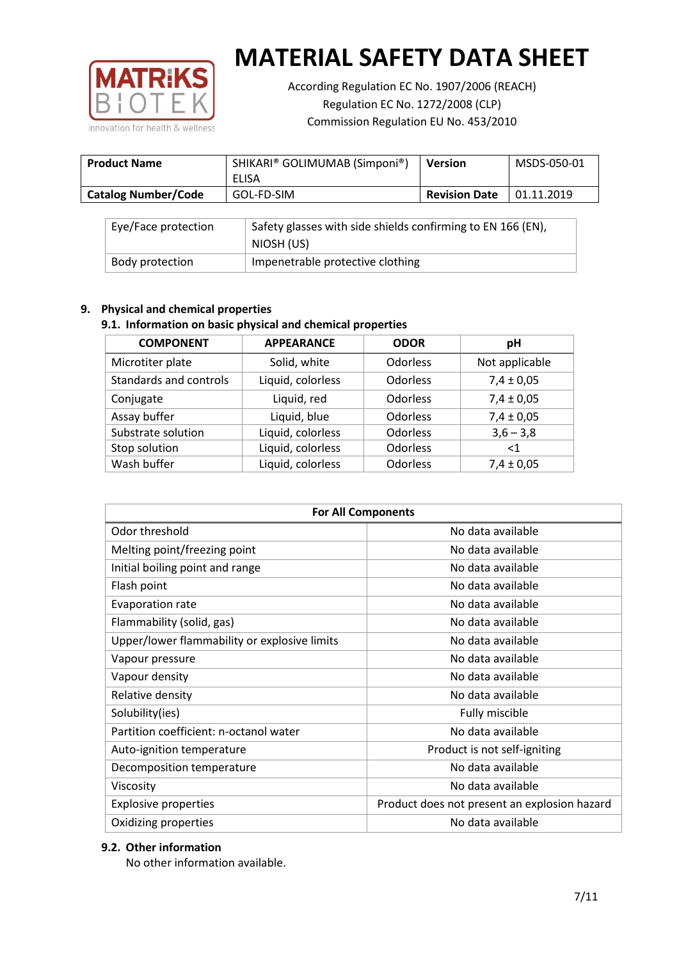

According Regulation EC No. 1907/2006 (REACH) Regulation EC No. 1272/2008 (CLP) Commission Regulation EU No. 453/2010

| <b>Product Name</b>        | SHIKARI® GOLIMUMAB (Simponi®)<br>ELISA | <b>Version</b>       | MSDS-050-01 |
|----------------------------|----------------------------------------|----------------------|-------------|
| <b>Catalog Number/Code</b> | GOL-FD-SIM                             | <b>Revision Date</b> | 01.11.2019  |

| Eye/Face protection | Safety glasses with side shields confirming to EN 166 (EN),<br>NIOSH (US) |
|---------------------|---------------------------------------------------------------------------|
| Body protection     | Impenetrable protective clothing                                          |

## **9. Physical and chemical properties**

## **9.1. Information on basic physical and chemical properties**

| <b>COMPONENT</b>       | <b>APPEARANCE</b> | <b>ODOR</b>     | pH             |
|------------------------|-------------------|-----------------|----------------|
| Microtiter plate       | Solid, white      | <b>Odorless</b> | Not applicable |
| Standards and controls | Liquid, colorless | Odorless        | $7,4 \pm 0,05$ |
| Conjugate              | Liquid, red       | <b>Odorless</b> | $7,4 \pm 0,05$ |
| Assay buffer           | Liquid, blue      | <b>Odorless</b> | $7,4 \pm 0,05$ |
| Substrate solution     | Liquid, colorless | Odorless        | $3,6 - 3,8$    |
| Stop solution          | Liquid, colorless | Odorless        | $<$ 1          |
| Wash buffer            | Liquid, colorless | Odorless        | $7,4 \pm 0,05$ |

| <b>For All Components</b>                    |                                              |  |  |
|----------------------------------------------|----------------------------------------------|--|--|
| Odor threshold                               | No data available                            |  |  |
| Melting point/freezing point                 | No data available                            |  |  |
| Initial boiling point and range              | No data available                            |  |  |
| Flash point                                  | No data available                            |  |  |
| <b>Evaporation rate</b>                      | No data available                            |  |  |
| Flammability (solid, gas)                    | No data available                            |  |  |
| Upper/lower flammability or explosive limits | No data available                            |  |  |
| Vapour pressure                              | No data available                            |  |  |
| Vapour density                               | No data available                            |  |  |
| Relative density                             | No data available                            |  |  |
| Solubility(ies)                              | Fully miscible                               |  |  |
| Partition coefficient: n-octanol water       | No data available                            |  |  |
| Auto-ignition temperature                    | Product is not self-igniting                 |  |  |
| Decomposition temperature                    | No data available                            |  |  |
| Viscosity                                    | No data available                            |  |  |
| <b>Explosive properties</b>                  | Product does not present an explosion hazard |  |  |
| Oxidizing properties                         | No data available                            |  |  |

## **9.2. Other information**

No other information available.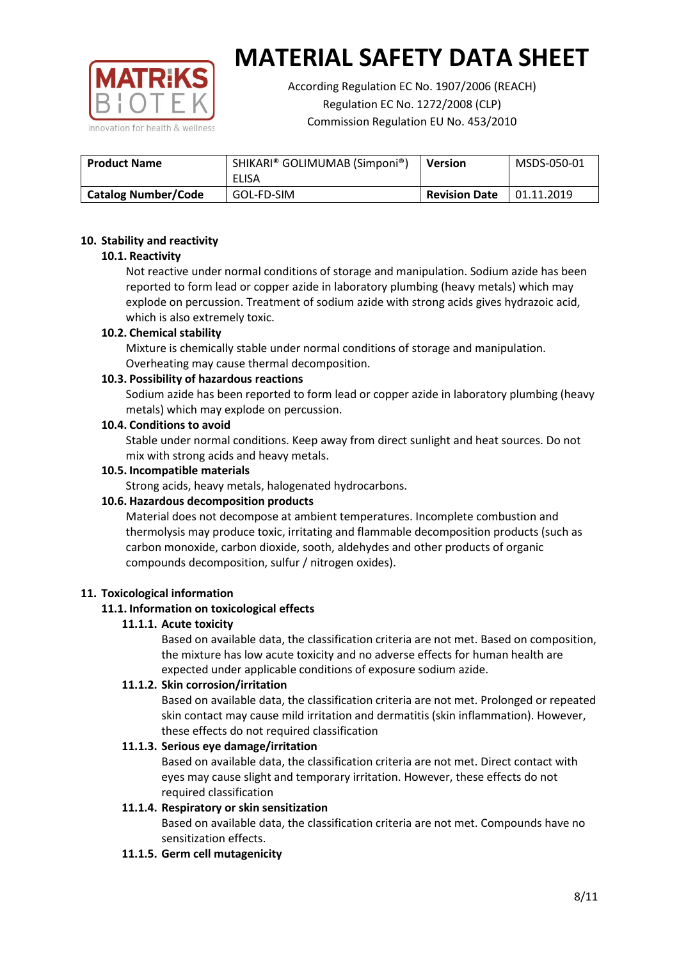

According Regulation EC No. 1907/2006 (REACH) Regulation EC No. 1272/2008 (CLP) Commission Regulation EU No. 453/2010

| <b>Product Name</b>        | SHIKARI® GOLIMUMAB (Simponi®)<br>ELISA | <b>Version</b>       | MSDS-050-01 |
|----------------------------|----------------------------------------|----------------------|-------------|
| <b>Catalog Number/Code</b> | GOL-FD-SIM                             | <b>Revision Date</b> | 01.11.2019  |

## **10. Stability and reactivity**

## **10.1. Reactivity**

Not reactive under normal conditions of storage and manipulation. Sodium azide has been reported to form lead or copper azide in laboratory plumbing (heavy metals) which may explode on percussion. Treatment of sodium azide with strong acids gives hydrazoic acid, which is also extremely toxic.

## **10.2. Chemical stability**

Mixture is chemically stable under normal conditions of storage and manipulation. Overheating may cause thermal decomposition.

## **10.3. Possibility of hazardous reactions**

Sodium azide has been reported to form lead or copper azide in laboratory plumbing (heavy metals) which may explode on percussion.

#### **10.4. Conditions to avoid**

Stable under normal conditions. Keep away from direct sunlight and heat sources. Do not mix with strong acids and heavy metals.

#### **10.5. Incompatible materials**

Strong acids, heavy metals, halogenated hydrocarbons.

## **10.6. Hazardous decomposition products**

Material does not decompose at ambient temperatures. Incomplete combustion and thermolysis may produce toxic, irritating and flammable decomposition products (such as carbon monoxide, carbon dioxide, sooth, aldehydes and other products of organic compounds decomposition, sulfur / nitrogen oxides).

## **11. Toxicological information**

## **11.1. Information on toxicological effects**

## **11.1.1. Acute toxicity**

Based on available data, the classification criteria are not met. Based on composition, the mixture has low acute toxicity and no adverse effects for human health are expected under applicable conditions of exposure sodium azide.

## **11.1.2. Skin corrosion/irritation**

Based on available data, the classification criteria are not met. Prolonged or repeated skin contact may cause mild irritation and dermatitis (skin inflammation). However, these effects do not required classification

## **11.1.3. Serious eye damage/irritation**

Based on available data, the classification criteria are not met. Direct contact with eyes may cause slight and temporary irritation. However, these effects do not required classification

## **11.1.4. Respiratory or skin sensitization**

Based on available data, the classification criteria are not met. Compounds have no sensitization effects.

#### **11.1.5. Germ cell mutagenicity**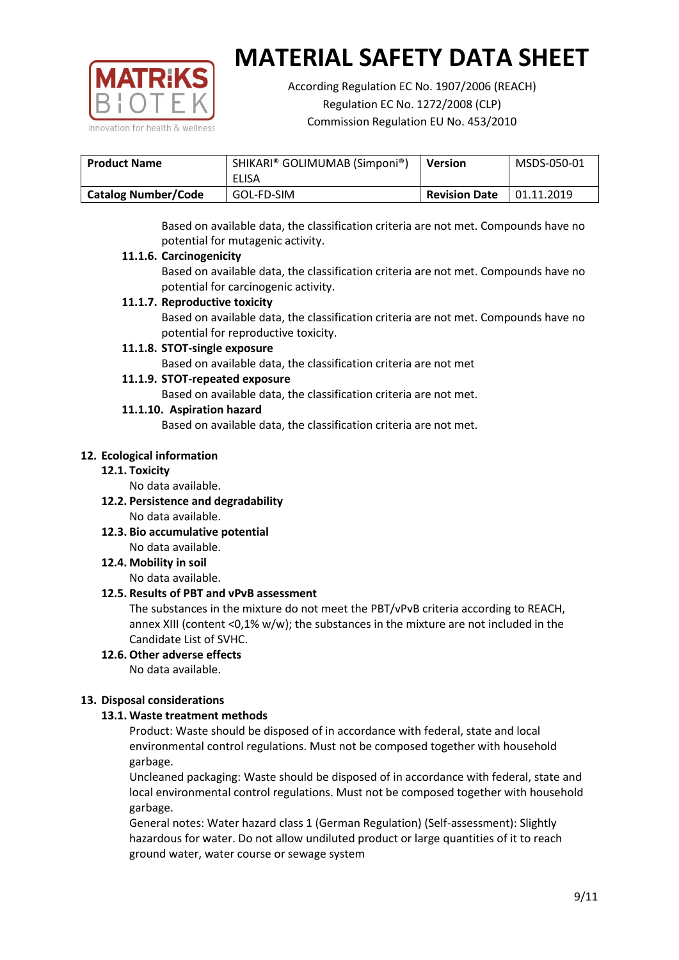

According Regulation EC No. 1907/2006 (REACH) Regulation EC No. 1272/2008 (CLP) Commission Regulation EU No. 453/2010

| <b>Product Name</b>        | SHIKARI® GOLIMUMAB (Simponi®)<br>ELISA | <b>Version</b>       | MSDS-050-01 |
|----------------------------|----------------------------------------|----------------------|-------------|
| <b>Catalog Number/Code</b> | GOL-FD-SIM                             | <b>Revision Date</b> | 01.11.2019  |

Based on available data, the classification criteria are not met. Compounds have no potential for mutagenic activity.

## **11.1.6. Carcinogenicity**

Based on available data, the classification criteria are not met. Compounds have no potential for carcinogenic activity.

## **11.1.7. Reproductive toxicity**

Based on available data, the classification criteria are not met. Compounds have no potential for reproductive toxicity.

## **11.1.8. STOT-single exposure**

Based on available data, the classification criteria are not met

## **11.1.9. STOT-repeated exposure**

Based on available data, the classification criteria are not met.

## **11.1.10. Aspiration hazard**

Based on available data, the classification criteria are not met.

## **12. Ecological information**

#### **12.1. Toxicity**

No data available.

- **12.2. Persistence and degradability** No data available.
- **12.3. Bio accumulative potential** No data available.

**12.4. Mobility in soil**

No data available.

## **12.5. Results of PBT and vPvB assessment**

The substances in the mixture do not meet the PBT/vPvB criteria according to REACH, annex XIII (content <0,1% w/w); the substances in the mixture are not included in the Candidate List of SVHC.

#### **12.6. Other adverse effects** No data available.

## **13. Disposal considerations**

## **13.1. Waste treatment methods**

Product: Waste should be disposed of in accordance with federal, state and local environmental control regulations. Must not be composed together with household garbage.

Uncleaned packaging: Waste should be disposed of in accordance with federal, state and local environmental control regulations. Must not be composed together with household garbage.

General notes: Water hazard class 1 (German Regulation) (Self-assessment): Slightly hazardous for water. Do not allow undiluted product or large quantities of it to reach ground water, water course or sewage system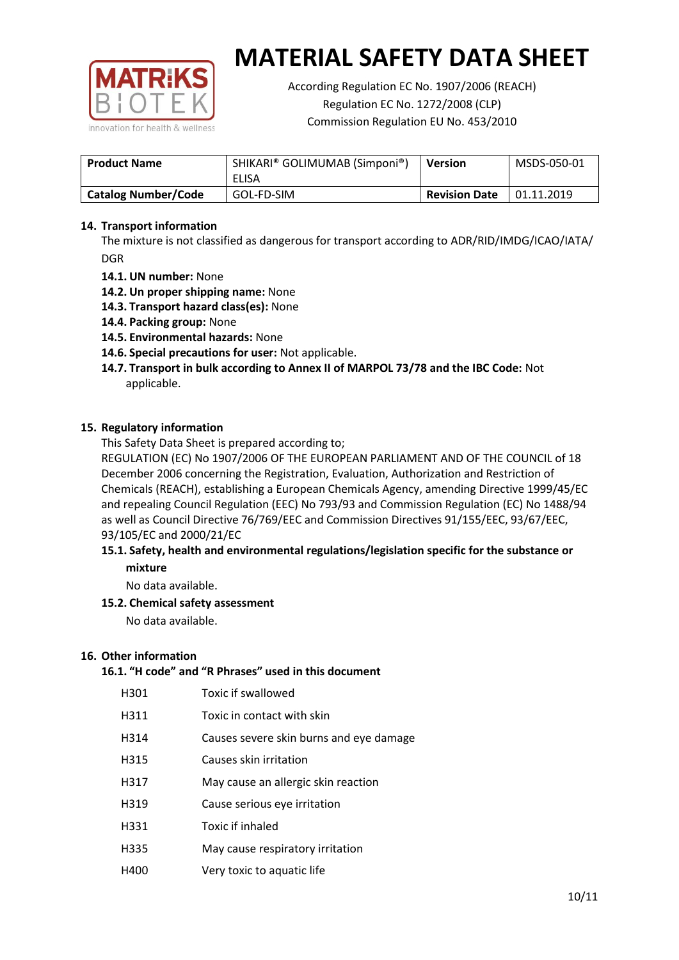

According Regulation EC No. 1907/2006 (REACH) Regulation EC No. 1272/2008 (CLP) Commission Regulation EU No. 453/2010

| <b>Product Name</b>        | SHIKARI® GOLIMUMAB (Simponi®)<br>ELISA | <b>Version</b>       | MSDS-050-01 |
|----------------------------|----------------------------------------|----------------------|-------------|
| <b>Catalog Number/Code</b> | GOL-FD-SIM                             | <b>Revision Date</b> | 01.11.2019  |

## **14. Transport information**

The mixture is not classified as dangerous for transport according to ADR/RID/IMDG/ICAO/IATA/ DGR

- **14.1. UN number:** None
- **14.2. Un proper shipping name:** None
- **14.3. Transport hazard class(es):** None
- **14.4. Packing group:** None
- **14.5. Environmental hazards:** None
- **14.6. Special precautions for user:** Not applicable.
- **14.7. Transport in bulk according to Annex II of MARPOL 73/78 and the IBC Code:** Not applicable.

#### **15. Regulatory information**

This Safety Data Sheet is prepared according to;

REGULATION (EC) No 1907/2006 OF THE EUROPEAN PARLIAMENT AND OF THE COUNCIL of 18 December 2006 concerning the Registration, Evaluation, Authorization and Restriction of Chemicals (REACH), establishing a European Chemicals Agency, amending Directive 1999/45/EC and repealing Council Regulation (EEC) No 793/93 and Commission Regulation (EC) No 1488/94 as well as Council Directive 76/769/EEC and Commission Directives 91/155/EEC, 93/67/EEC, 93/105/EC and 2000/21/EC

## **15.1. Safety, health and environmental regulations/legislation specific for the substance or mixture**

No data available.

## **15.2. Chemical safety assessment**

No data available.

#### **16. Other information**

## **16.1. "H code" and "R Phrases" used in this document**

| H301 | Toxic if swallowed |
|------|--------------------|
|------|--------------------|

- H311 Toxic in contact with skin
- H314 Causes severe skin burns and eye damage
- H315 Causes skin irritation
- H317 May cause an allergic skin reaction
- H319 Cause serious eye irritation
- H331 Toxic if inhaled
- H335 May cause respiratory irritation
- H400 Very toxic to aquatic life